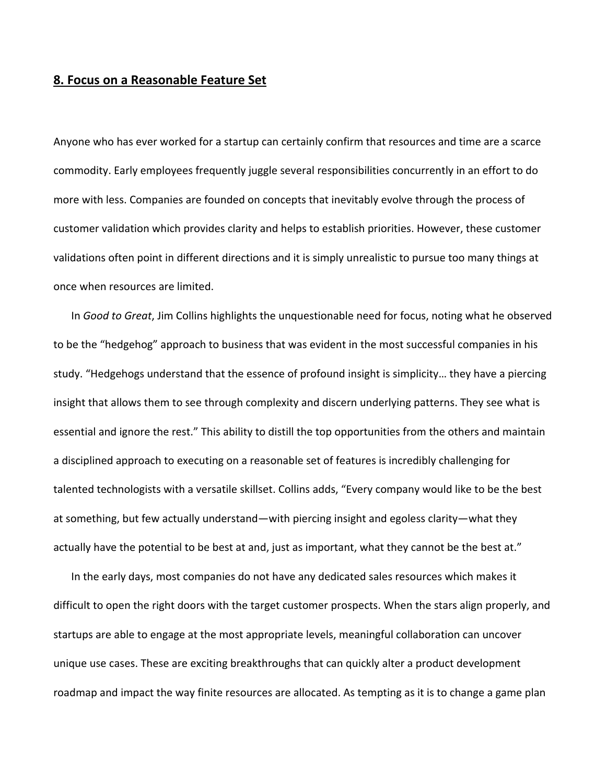## **8. Focus on a Reasonable Feature Set**

Anyone who has ever worked for a startup can certainly confirm that resources and time are a scarce commodity. Early employees frequently juggle several responsibilities concurrently in an effort to do more with less. Companies are founded on concepts that inevitably evolve through the process of customer validation which provides clarity and helps to establish priorities. However, these customer validations often point in different directions and it is simply unrealistic to pursue too many things at once when resources are limited.

In *Good to Great*, Jim Collins highlights the unquestionable need for focus, noting what he observed to be the "hedgehog" approach to business that was evident in the most successful companies in his study. "Hedgehogs understand that the essence of profound insight is simplicity… they have a piercing insight that allows them to see through complexity and discern underlying patterns. They see what is essential and ignore the rest." This ability to distill the top opportunities from the others and maintain a disciplined approach to executing on a reasonable set of features is incredibly challenging for talented technologists with a versatile skillset. Collins adds, "Every company would like to be the best at something, but few actually understand—with piercing insight and egoless clarity—what they actually have the potential to be best at and, just as important, what they cannot be the best at."

In the early days, most companies do not have any dedicated sales resources which makes it difficult to open the right doors with the target customer prospects. When the stars align properly, and startups are able to engage at the most appropriate levels, meaningful collaboration can uncover unique use cases. These are exciting breakthroughs that can quickly alter a product development roadmap and impact the way finite resources are allocated. As tempting as it is to change a game plan